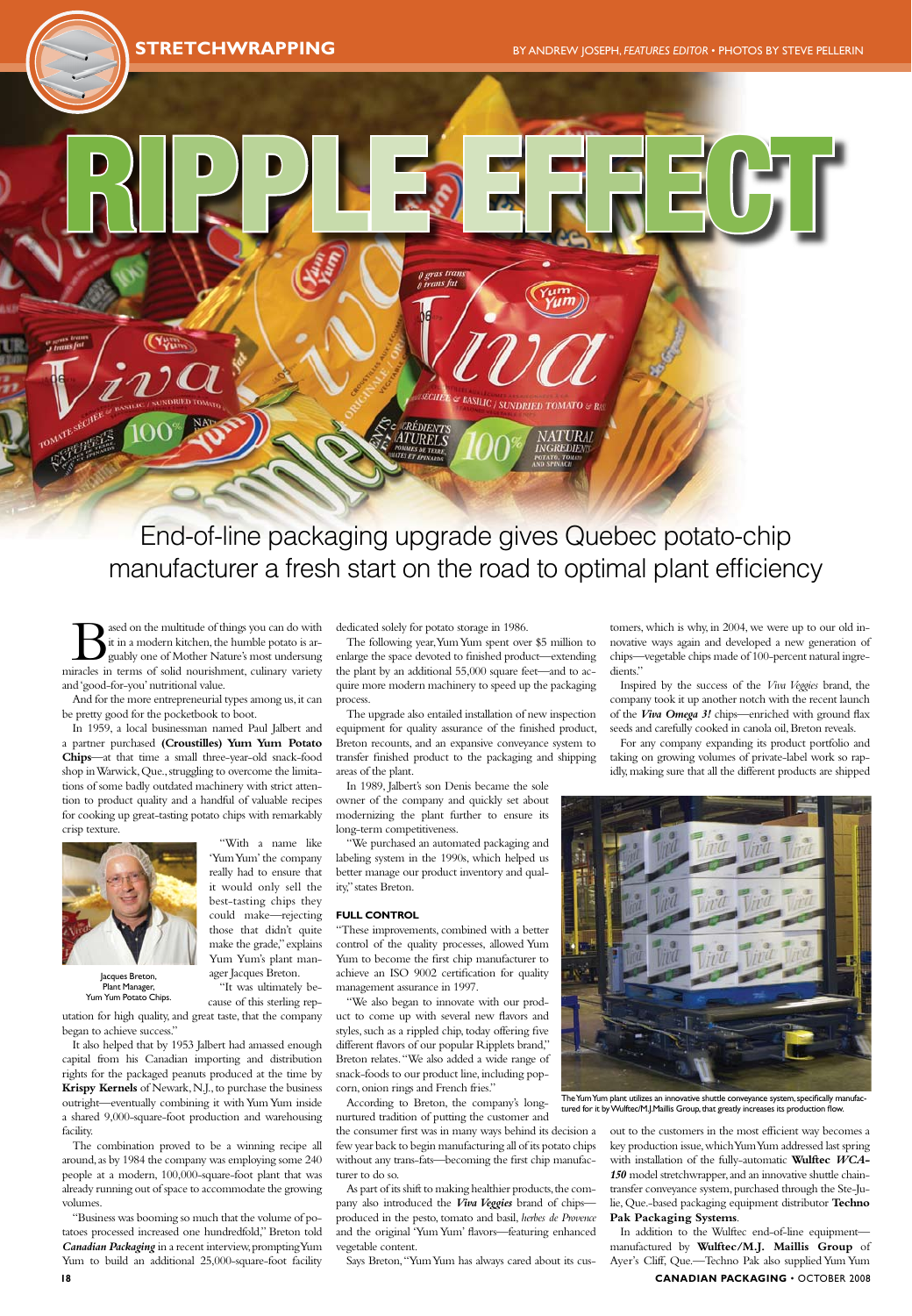ased on the multitude of things you can do with it in a modern kitchen, the humble potato is arguably one of Mother Nature's most undersung miracles in terms of solid nourishment, culinary variety and 'good-for-you' nutritional value.

And for the more entrepreneurial types among us, it can be pretty good for the pocketbook to boot.

utation for high quality, and great taste, that the company began to achieve success.

In 1959, a local businessman named Paul Jalbert and a partner purchased **(Croustilles) Yum Yum Potato Chips**—at that time a small three-year-old snack-food shop in Warwick, Que., struggling to overcome the limitations of some badly outdated machinery with strict attention to product quality and a handful of valuable recipes for cooking up great-tasting potato chips with remarkably crisp texture.

> "With a name like 'Yum Yum' the company really had to ensure that it would only sell the

best-tasting chips they could make—rejecting those that didn't quite make the grade," explains Yum Yum's plant manager Jacques Breton. "It was ultimately because of this sterling rep-

It also helped that by 1953 Jalbert had amassed enough capital from his Canadian importing and distribution rights for the packaged peanuts produced at the time by **Krispy Kernels** of Newark, N.J., to purchase the business outright—eventually combining it with Yum Yum inside a shared 9,000-square-foot production and warehousing facility.

The combination proved to be a winning recipe all around, as by 1984 the company was employing some 240 people at a modern, 100,000-square-foot plant that was already running out of space to accommodate the growing volumes.

"Business was booming so much that the volume of potatoes processed increased one hundredfold," Breton told *Canadian Packaging* in a recent interview, prompting Yum Yum to build an additional 25,000-square-foot facility

dedicated solely for potato storage in 1986.

The following year, Yum Yum spent over \$5 million to enlarge the space devoted to finished product—extending the plant by an additional 55,000 square feet—and to acquire more modern machinery to speed up the packaging process.

The upgrade also entailed installation of new inspection equipment for quality assurance of the finished product, Breton recounts, and an expansive conveyance system to transfer finished product to the packaging and shipping areas of the plant.

In 1989, Jalbert's son Denis became the sole owner of the company and quickly set about modernizing the plant further to ensure its long-term competitiveness.

"We purchased an automated packaging and labeling system in the 1990s, which helped us better manage our product inventory and quality," states Breton.

## **Full Control**

"These improvements, combined with a better control of the quality processes, allowed Yum Yum to become the first chip manufacturer to achieve an ISO 9002 certification for quality management assurance in 1997.

"We also began to innovate with our product to come up with several new flavors and styles, such as a rippled chip, today offering five different flavors of our popular Ripplets brand," Breton relates. "We also added a wide range of snack-foods to our product line, including popcorn, onion rings and French fries." According to Breton, the company's longnurtured tradition of putting the customer and

the consumer first was in many ways behind its decision a few year back to begin manufacturing all of its potato chips without any trans-fats—becoming the first chip manufacturer to do so.

As part of its shift to making healthier products, the company also introduced the *Viva Veggies* brand of chips produced in the pesto, tomato and basil, *herbes de Provence* and the original 'Yum Yum' flavors—featuring enhanced vegetable content.

Says Breton, "Yum Yum has always cared about its cus-

tomers, which is why, in 2004, we were up to our old innovative ways again and developed a new generation of chips—vegetable chips made of 100-percent natural ingredients."

Inspired by the success of the *Viva Veggies* brand, the company took it up another notch with the recent launch of the *Viva Omega 3!* chips—enriched with ground flax seeds and carefully cooked in canola oil, Breton reveals.

For any company expanding its product portfolio and taking on growing volumes of private-label work so rapidly, making sure that all the different products are shipped



out to the customers in the most efficient way becomes a key production issue, which Yum Yum addressed last spring with installation of the fully-automatic **Wulftec** *WCA-150* model stretchwrapper, and an innovative shuttle chaintransfer conveyance system, purchased through the Ste-Julie, Que.-based packaging equipment distributor **Techno Pak Packaging Systems**.

In addition to the Wulftec end-of-line equipment manufactured by **Wulftec/M.J. Maillis Group** of Ayer's Cliff, Que.—Techno Pak also supplied Yum Yum **18 CANADIAN PACKAGING** • october 2008



End-of-line packaging upgrade gives Quebec potato-chip manufacturer a fresh start on the road to optimal plant efficiency

The Yum Yum plant utilizes an innovative shuttle conveyance system, specifically manufactured for it by Wulftec/M.J.Maillis Group, that greatly increases its production flow.



Jacques Breton, Plant Manager, Yum Yum Potato Chips.